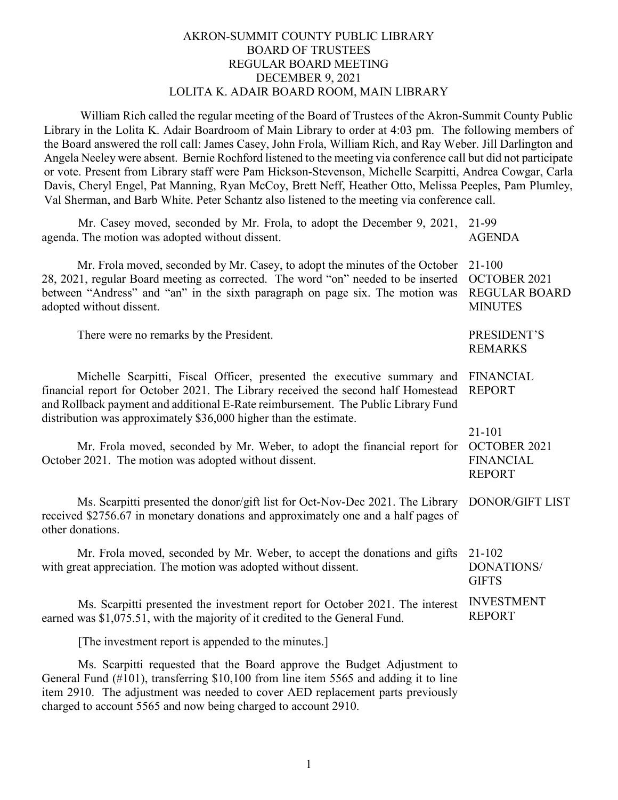# AKRON-SUMMIT COUNTY PUBLIC LIBRARY BOARD OF TRUSTEES REGULAR BOARD MEETING DECEMBER 9, 2021 LOLITA K. ADAIR BOARD ROOM, MAIN LIBRARY

William Rich called the regular meeting of the Board of Trustees of the Akron-Summit County Public Library in the Lolita K. Adair Boardroom of Main Library to order at 4:03 pm. The following members of the Board answered the roll call: James Casey, John Frola, William Rich, and Ray Weber. Jill Darlington and Angela Neeley were absent. Bernie Rochford listened to the meeting via conference call but did not participate or vote. Present from Library staff were Pam Hickson-Stevenson, Michelle Scarpitti, Andrea Cowgar, Carla Davis, Cheryl Engel, Pat Manning, Ryan McCoy, Brett Neff, Heather Otto, Melissa Peeples, Pam Plumley, Val Sherman, and Barb White. Peter Schantz also listened to the meeting via conference call.

| Mr. Casey moved, seconded by Mr. Frola, to adopt the December 9, 2021,<br>agenda. The motion was adopted without dissent.                                                                                                                                                                                              | 21-99<br><b>AGENDA</b>                                               |
|------------------------------------------------------------------------------------------------------------------------------------------------------------------------------------------------------------------------------------------------------------------------------------------------------------------------|----------------------------------------------------------------------|
| Mr. Frola moved, seconded by Mr. Casey, to adopt the minutes of the October<br>28, 2021, regular Board meeting as corrected. The word "on" needed to be inserted<br>between "Andress" and "an" in the sixth paragraph on page six. The motion was<br>adopted without dissent.                                          | $21 - 100$<br>OCTOBER 2021<br><b>REGULAR BOARD</b><br><b>MINUTES</b> |
| There were no remarks by the President.                                                                                                                                                                                                                                                                                | PRESIDENT'S<br><b>REMARKS</b>                                        |
| Michelle Scarpitti, Fiscal Officer, presented the executive summary and<br>financial report for October 2021. The Library received the second half Homestead<br>and Rollback payment and additional E-Rate reimbursement. The Public Library Fund<br>distribution was approximately \$36,000 higher than the estimate. | <b>FINANCIAL</b><br><b>REPORT</b>                                    |
| Mr. Frola moved, seconded by Mr. Weber, to adopt the financial report for<br>October 2021. The motion was adopted without dissent.                                                                                                                                                                                     | 21-101<br>OCTOBER 2021<br><b>FINANCIAL</b><br><b>REPORT</b>          |
| Ms. Scarpitti presented the donor/gift list for Oct-Nov-Dec 2021. The Library<br>received \$2756.67 in monetary donations and approximately one and a half pages of<br>other donations.                                                                                                                                | DONOR/GIFT LIST                                                      |
| Mr. Frola moved, seconded by Mr. Weber, to accept the donations and gifts<br>with great appreciation. The motion was adopted without dissent.                                                                                                                                                                          | 21-102<br><b>DONATIONS/</b><br><b>GIFTS</b>                          |
| Ms. Scarpitti presented the investment report for October 2021. The interest<br>earned was \$1,075.51, with the majority of it credited to the General Fund.                                                                                                                                                           | <b>INVESTMENT</b><br><b>REPORT</b>                                   |
| [The investment report is appended to the minutes.]                                                                                                                                                                                                                                                                    |                                                                      |
| Ms. Scarpitti requested that the Board approve the Budget Adjustment to<br>General Fund (#101), transferring \$10,100 from line item 5565 and adding it to line<br>item 2910. The adjustment was needed to cover AED replacement parts previously                                                                      |                                                                      |

charged to account 5565 and now being charged to account 2910.

1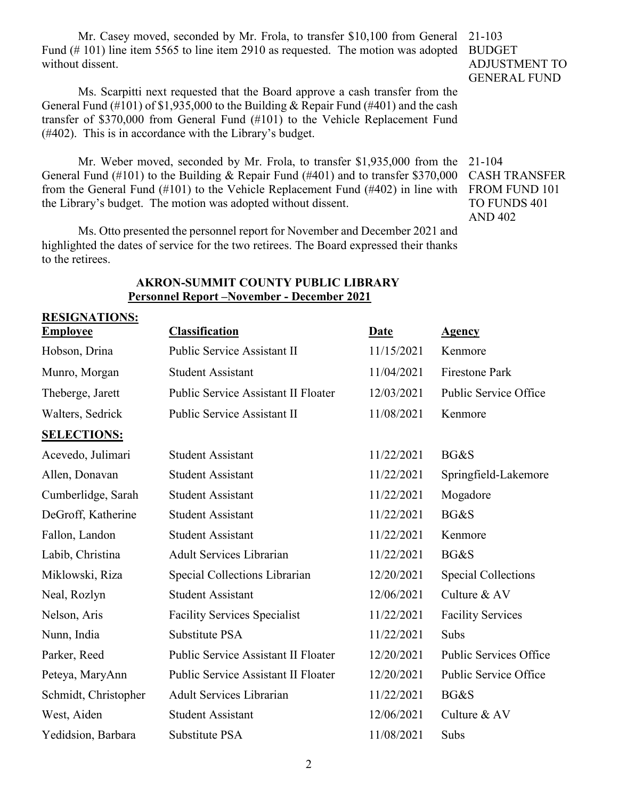Mr. Casey moved, seconded by Mr. Frola, to transfer \$10,100 from General Fund (# 101) line item 5565 to line item 2910 as requested. The motion was adopted without dissent.

Ms. Scarpitti next requested that the Board approve a cash transfer from the General Fund (#101) of \$1,935,000 to the Building & Repair Fund (#401) and the cash transfer of \$370,000 from General Fund (#101) to the Vehicle Replacement Fund (#402). This is in accordance with the Library's budget.

Mr. Weber moved, seconded by Mr. Frola, to transfer \$1,935,000 from the General Fund (#101) to the Building & Repair Fund (#401) and to transfer \$370,000 from the General Fund (#101) to the Vehicle Replacement Fund (#402) in line with FROM FUND 101 the Library's budget. The motion was adopted without dissent.

Ms. Otto presented the personnel report for November and December 2021 and highlighted the dates of service for the two retirees. The Board expressed their thanks to the retirees.

21-103 BUDGET ADJUSTMENT TO GENERAL FUND

21-104 CASH TRANSFER TO FUNDS 401 AND 402

| <b>RESIGNATIONS:</b> |                                            |             |                               |  |
|----------------------|--------------------------------------------|-------------|-------------------------------|--|
| <u>Employee</u>      | <b>Classification</b>                      | <b>Date</b> | <b>Agency</b>                 |  |
| Hobson, Drina        | Public Service Assistant II                | 11/15/2021  | Kenmore                       |  |
| Munro, Morgan        | <b>Student Assistant</b>                   | 11/04/2021  | <b>Firestone Park</b>         |  |
| Theberge, Jarett     | Public Service Assistant II Floater        | 12/03/2021  | Public Service Office         |  |
| Walters, Sedrick     | Public Service Assistant II                | 11/08/2021  | Kenmore                       |  |
| <b>SELECTIONS:</b>   |                                            |             |                               |  |
| Acevedo, Julimari    | <b>Student Assistant</b>                   | 11/22/2021  | BG&S                          |  |
| Allen, Donavan       | <b>Student Assistant</b>                   | 11/22/2021  | Springfield-Lakemore          |  |
| Cumberlidge, Sarah   | <b>Student Assistant</b>                   | 11/22/2021  | Mogadore                      |  |
| DeGroff, Katherine   | <b>Student Assistant</b>                   | 11/22/2021  | BG&S                          |  |
| Fallon, Landon       | <b>Student Assistant</b>                   | 11/22/2021  | Kenmore                       |  |
| Labib, Christina     | <b>Adult Services Librarian</b>            | 11/22/2021  | BG&S                          |  |
| Miklowski, Riza      | Special Collections Librarian              | 12/20/2021  | <b>Special Collections</b>    |  |
| Neal, Rozlyn         | <b>Student Assistant</b>                   | 12/06/2021  | Culture & AV                  |  |
| Nelson, Aris         | <b>Facility Services Specialist</b>        | 11/22/2021  | <b>Facility Services</b>      |  |
| Nunn, India          | Substitute PSA                             | 11/22/2021  | Subs                          |  |
| Parker, Reed         | <b>Public Service Assistant II Floater</b> | 12/20/2021  | <b>Public Services Office</b> |  |
| Peteya, MaryAnn      | <b>Public Service Assistant II Floater</b> | 12/20/2021  | Public Service Office         |  |
| Schmidt, Christopher | <b>Adult Services Librarian</b>            | 11/22/2021  | BG&S                          |  |
| West, Aiden          | <b>Student Assistant</b>                   | 12/06/2021  | Culture & AV                  |  |
| Yedidsion, Barbara   | Substitute PSA                             | 11/08/2021  | Subs                          |  |

### **AKRON-SUMMIT COUNTY PUBLIC LIBRARY Personnel Report –November - December 2021**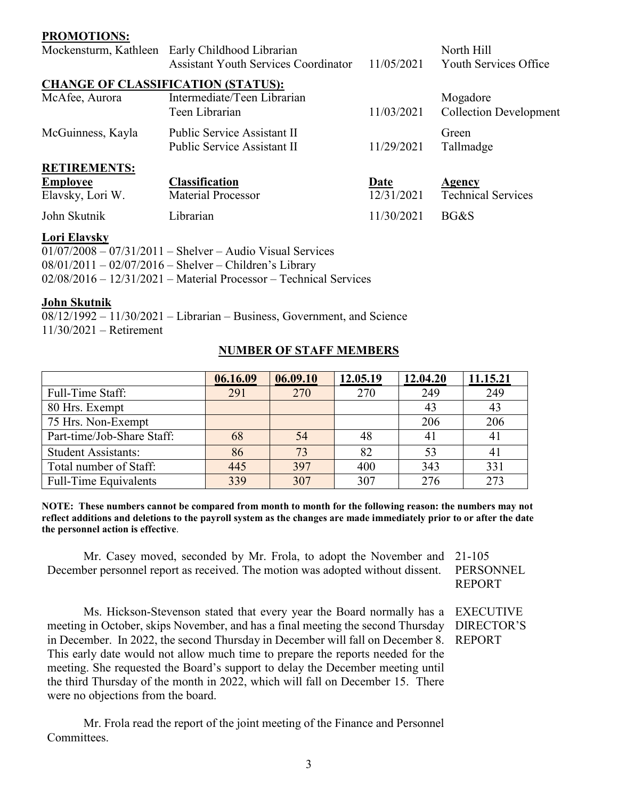| <b>PROMOTIONS:</b>  |                                                                                                |            |                                     |
|---------------------|------------------------------------------------------------------------------------------------|------------|-------------------------------------|
|                     | Mockensturm, Kathleen Early Childhood Librarian<br><b>Assistant Youth Services Coordinator</b> | 11/05/2021 | North Hill<br>Youth Services Office |
|                     |                                                                                                |            |                                     |
|                     | <b>CHANGE OF CLASSIFICATION (STATUS):</b>                                                      |            |                                     |
| McAfee, Aurora      | Intermediate/Teen Librarian                                                                    |            | Mogadore                            |
|                     | Teen Librarian                                                                                 | 11/03/2021 | <b>Collection Development</b>       |
| McGuinness, Kayla   | <b>Public Service Assistant II</b>                                                             |            | Green                               |
|                     | Public Service Assistant II                                                                    | 11/29/2021 | Tallmadge                           |
| <b>RETIREMENTS:</b> |                                                                                                |            |                                     |
| <b>Employee</b>     | <b>Classification</b>                                                                          | Date       | <b>Agency</b>                       |
| Elavsky, Lori W.    | <b>Material Processor</b>                                                                      | 12/31/2021 | <b>Technical Services</b>           |
| John Skutnik        | Librarian                                                                                      | 11/30/2021 | BG&S                                |

#### **Lori Elavsky**

| $01/07/2008 - 07/31/2011 -$ Shelver - Audio Visual Services               |
|---------------------------------------------------------------------------|
| $08/01/2011 - 02/07/2016 -$ Shelver - Children's Library                  |
| $02/08/2016 - 12/31/2021 - Material \, Processor - Technical \, Services$ |

#### **John Skutnik**

08/12/1992 – 11/30/2021 – Librarian – Business, Government, and Science 11/30/2021 – Retirement

# **NUMBER OF STAFF MEMBERS**

|                              | 06.16.09 | 06.09.10 | 12.05.19 | 12.04.20 | 11.15.21 |
|------------------------------|----------|----------|----------|----------|----------|
| Full-Time Staff:             | 291      | 270      | 270      | 249      | 249      |
| 80 Hrs. Exempt               |          |          |          | 43       | 43       |
| 75 Hrs. Non-Exempt           |          |          |          | 206      | 206      |
| Part-time/Job-Share Staff:   | 68       | 54       | 48       |          |          |
| <b>Student Assistants:</b>   | 86       | 73       | 82       | 53       |          |
| Total number of Staff:       | 445      | 397      | 400      | 343      | 331      |
| <b>Full-Time Equivalents</b> | 339      | 307      | 307      | 276      | 273      |

**NOTE: These numbers cannot be compared from month to month for the following reason: the numbers may not reflect additions and deletions to the payroll system as the changes are made immediately prior to or after the date the personnel action is effective**.

Mr. Casey moved, seconded by Mr. Frola, to adopt the November and 21-105 December personnel report as received. The motion was adopted without dissent.

PERSONNEL REPORT

Ms. Hickson-Stevenson stated that every year the Board normally has a EXECUTIVE meeting in October, skips November, and has a final meeting the second Thursday in December. In 2022, the second Thursday in December will fall on December 8. This early date would not allow much time to prepare the reports needed for the meeting. She requested the Board's support to delay the December meeting until the third Thursday of the month in 2022, which will fall on December 15. There were no objections from the board.

Mr. Frola read the report of the joint meeting of the Finance and Personnel Committees.

DIRECTOR'S REPORT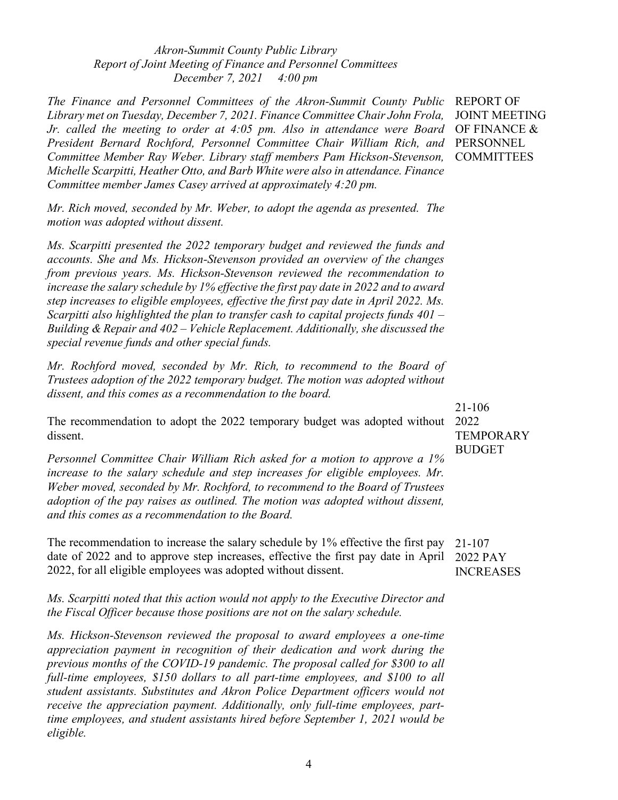*Akron-Summit County Public Library Report of Joint Meeting of Finance and Personnel Committees December 7, 2021 4:00 pm*

*The Finance and Personnel Committees of the Akron-Summit County Public*  REPORT OF *Library met on Tuesday, December 7, 2021. Finance Committee Chair John Frola, Jr. called the meeting to order at 4:05 pm. Also in attendance were Board*  OF FINANCE & *President Bernard Rochford, Personnel Committee Chair William Rich, and*  PERSONNEL *Committee Member Ray Weber. Library staff members Pam Hickson-Stevenson, Michelle Scarpitti, Heather Otto, and Barb White were also in attendance. Finance Committee member James Casey arrived at approximately 4:20 pm.*

*Mr. Rich moved, seconded by Mr. Weber, to adopt the agenda as presented. The motion was adopted without dissent.*

*Ms. Scarpitti presented the 2022 temporary budget and reviewed the funds and accounts. She and Ms. Hickson-Stevenson provided an overview of the changes from previous years. Ms. Hickson-Stevenson reviewed the recommendation to increase the salary schedule by 1% effective the first pay date in 2022 and to award step increases to eligible employees, effective the first pay date in April 2022. Ms. Scarpitti also highlighted the plan to transfer cash to capital projects funds 401 – Building & Repair and 402 – Vehicle Replacement. Additionally, she discussed the special revenue funds and other special funds.* 

*Mr. Rochford moved, seconded by Mr. Rich, to recommend to the Board of Trustees adoption of the 2022 temporary budget. The motion was adopted without dissent, and this comes as a recommendation to the board.*

The recommendation to adopt the 2022 temporary budget was adopted without 2022 dissent.

*Personnel Committee Chair William Rich asked for a motion to approve a 1% increase to the salary schedule and step increases for eligible employees. Mr. Weber moved, seconded by Mr. Rochford, to recommend to the Board of Trustees adoption of the pay raises as outlined. The motion was adopted without dissent, and this comes as a recommendation to the Board.* 

The recommendation to increase the salary schedule by 1% effective the first pay date of 2022 and to approve step increases, effective the first pay date in April 2022 PAY 2022, for all eligible employees was adopted without dissent.

*Ms. Scarpitti noted that this action would not apply to the Executive Director and the Fiscal Officer because those positions are not on the salary schedule.*

*Ms. Hickson-Stevenson reviewed the proposal to award employees a one-time appreciation payment in recognition of their dedication and work during the previous months of the COVID-19 pandemic. The proposal called for \$300 to all*  full-time employees, \$150 dollars to all part-time employees, and \$100 to all *student assistants. Substitutes and Akron Police Department officers would not receive the appreciation payment. Additionally, only full-time employees, parttime employees, and student assistants hired before September 1, 2021 would be eligible.*

JOINT MEETING **COMMITTEES** 

21-106 **TEMPORARY** BUDGET

21-107 INCREASES